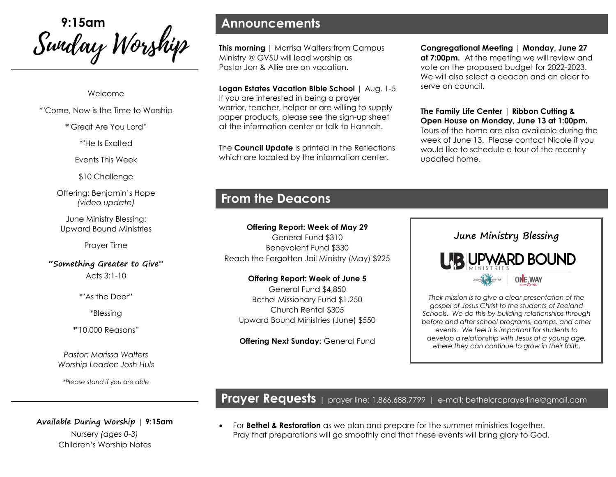Swiday Worship

#### Welcome

\*"Come, Now is the Time to Worship

\*"Great Are You Lord"

\*"He Is Exalted

Events This Week

\$10 Challenge

Offering: Benjamin's Hope *(video update)*

June Ministry Blessing: Upward Bound Ministries

Prayer Time

**"Something Greater to Give"** Acts 3:1-10

\*"As the Deer"

\*Blessing

\*"10,000 Reasons"

*Pastor: Marissa Walters Worship Leader: Josh Huls*

*\*Please stand if you are able*

**Available During Worship | 9:15am**  Nursery *(ages 0-3)* Children's Worship Notes

## **Announcements**

**This morning | Marrisa Walters from Campus** Ministry @ GVSU will lead worship as Pastor Jon & Allie are on vacation.

**Logan Estates Vacation Bible School** | Aug. 1-5 If you are interested in being a prayer warrior, teacher, helper or are willing to supply paper products, please see the sign-up sheet at the information center or talk to Hannah.

The **Council Update** is printed in the Reflections which are located by the information center.

# **From the Deacons**

**Offering Report: Week of May 29** General Fund \$310 Benevolent Fund \$330 Reach the Forgotten Jail Ministry (May) \$225

**Offering Report: Week of June 5** General Fund \$4,850 Bethel Missionary Fund \$1,250 Church Rental \$305 Upward Bound Ministries (June) \$550

**Offering Next Sunday: General Fund** 

#### **Congregational Meeting** | **Monday, June 27 at 7:00pm.** At the meeting we will review and vote on the proposed budget for 2022-2023. We will also select a deacon and an elder to serve on council.

**The Family Life Center** | **Ribbon Cutting & Open House on Monday, June 13 at 1:00pm.**  Tours of the home are also available during the week of June 13. Please contact Nicole if you would like to schedule a tour of the recently updated home.

# **June Ministry Blessing IR UPWARD BOUND**

**ONE, WAY** 

*Their mission is to give a clear presentation of the gospel of Jesus Christ to the students of Zeeland Schools. We do this by building relationships through before and after school programs, camps, and other events. We feel it is important for students to develop a relationship with Jesus at a young age, where they can continue to grow in their faith.* 

## **Prayer Requests** | prayer line: 1.866.688.7799 | e-mail: bethelcrcprayerline@gmail.com

• For **Bethel & Restoration** as we plan and prepare for the summer ministries together. Pray that preparations will go smoothly and that these events will bring glory to God.